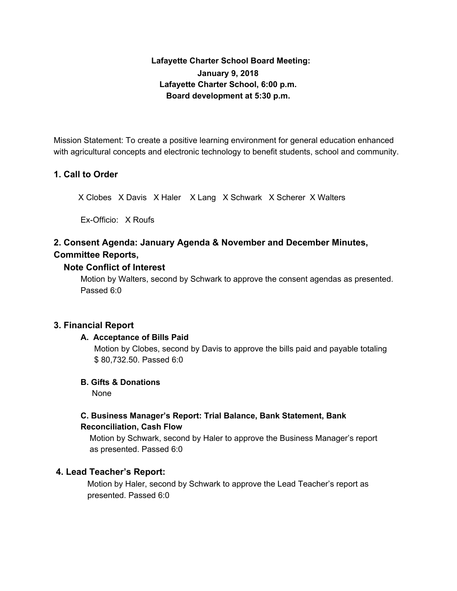# **Lafayette Charter School Board Meeting: January 9, 2018 Lafayette Charter School, 6:00 p.m. Board development at 5:30 p.m.**

Mission Statement: To create a positive learning environment for general education enhanced with agricultural concepts and electronic technology to benefit students, school and community.

# **1. Call to Order**

X Clobes X Davis X Haler X Lang X Schwark X Scherer X Walters

Ex-Officio: X Roufs

# **2. Consent Agenda: January Agenda & November and December Minutes, Committee Reports,**

### **Note Conflict of Interest**

Motion by Walters, second by Schwark to approve the consent agendas as presented. Passed 6:0

### **3. Financial Report**

### **A. Acceptance of Bills Paid**

Motion by Clobes, second by Davis to approve the bills paid and payable totaling \$ 80,732.50. Passed 6:0

### **B. Gifts & Donations**

None

# **C. Business Manager's Report: Trial Balance, Bank Statement, Bank Reconciliation, Cash Flow**

Motion by Schwark, second by Haler to approve the Business Manager's report as presented. Passed 6:0

### **4. Lead Teacher's Report:**

Motion by Haler, second by Schwark to approve the Lead Teacher's report as presented. Passed 6:0